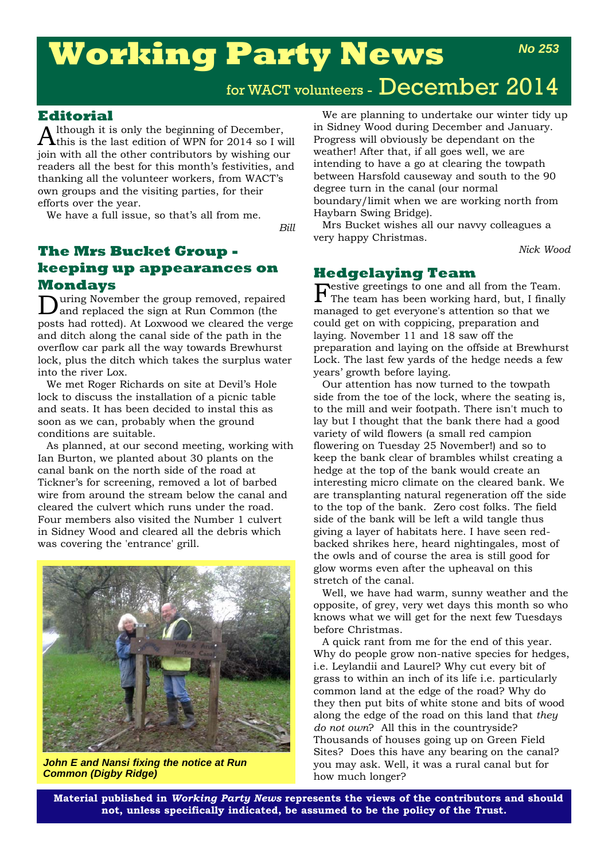# **Working Party News**

# **Editorial**

 $A$ lthough it is only the beginning of December,<br>this is the last edition of WPN for 2014 so I will join with all the other contributors by wishing our readers all the best for this month's festivities, and thanking all the volunteer workers, from WACT's own groups and the visiting parties, for their efforts over the year.

We have a full issue, so that's all from me.

*Bill*

# **The Mrs Bucket Group keeping up appearances on Mondays**

During November the group removed, repaired and replaced the sign at Run Common (the posts had rotted). At Loxwood we cleared the verge and ditch along the canal side of the path in the overflow car park all the way towards Brewhurst lock, plus the ditch which takes the surplus water into the river Lox.

We met Roger Richards on site at Devil's Hole lock to discuss the installation of a picnic table and seats. It has been decided to instal this as soon as we can, probably when the ground conditions are suitable.

As planned, at our second meeting, working with Ian Burton, we planted about 30 plants on the canal bank on the north side of the road at Tickner's for screening, removed a lot of barbed wire from around the stream below the canal and cleared the culvert which runs under the road. Four members also visited the Number 1 culvert in Sidney Wood and cleared all the debris which was covering the 'entrance' grill.



*John E and Nansi fixing the notice at Run Common (Digby Ridge)*

We are planning to undertake our winter tidy up in Sidney Wood during December and January. Progress will obviously be dependant on the weather! After that, if all goes well, we are intending to have a go at clearing the towpath between Harsfold causeway and south to the 90 degree turn in the canal (our normal boundary/limit when we are working north from Haybarn Swing Bridge).

Mrs Bucket wishes all our navvy colleagues a very happy Christmas.

*Nick Wood*

# **Hedgelaying Team**

Festive greetings to one and all from the Team. The team has been working hard, but, I finally managed to get everyone's attention so that we could get on with coppicing, preparation and laying. November 11 and 18 saw off the preparation and laying on the offside at Brewhurst Lock. The last few yards of the hedge needs a few years' growth before laying.

Our attention has now turned to the towpath side from the toe of the lock, where the seating is, to the mill and weir footpath. There isn't much to lay but I thought that the bank there had a good variety of wild flowers (a small red campion flowering on Tuesday 25 November!) and so to keep the bank clear of brambles whilst creating a hedge at the top of the bank would create an interesting micro climate on the cleared bank. We are transplanting natural regeneration off the side to the top of the bank. Zero cost folks. The field side of the bank will be left a wild tangle thus giving a layer of habitats here. I have seen redbacked shrikes here, heard nightingales, most of the owls and of course the area is still good for glow worms even after the upheaval on this stretch of the canal.

Well, we have had warm, sunny weather and the opposite, of grey, very wet days this month so who knows what we will get for the next few Tuesdays before Christmas.

A quick rant from me for the end of this year. Why do people grow non-native species for hedges, i.e. Leylandii and Laurel? Why cut every bit of grass to within an inch of its life i.e. particularly common land at the edge of the road? Why do they then put bits of white stone and bits of wood along the edge of the road on this land that *they do not own*? All this in the countryside? Thousands of houses going up on Green Field Sites? Does this have any bearing on the canal? you may ask. Well, it was a rural canal but for how much longer?

**Material published in** *Working Party News* **represents the views of the contributors and should not, unless specifically indicated, be assumed to be the policy of the Trust.**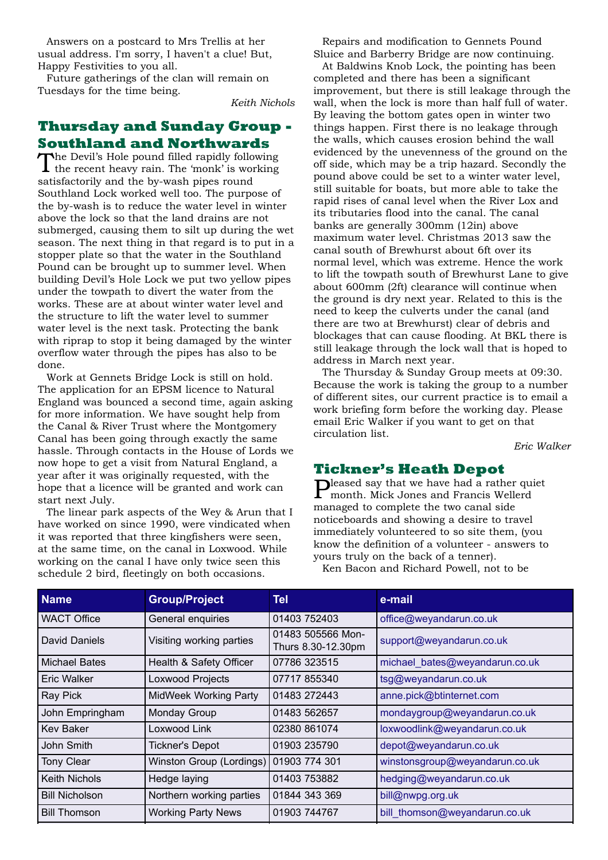Answers on a postcard to Mrs Trellis at her usual address. I'm sorry, I haven't a clue! But, Happy Festivities to you all.

Future gatherings of the clan will remain on Tuesdays for the time being.

*Keith Nichols*

# **Thursday and Sunday Group - Southland and Northwards**

The Devil's Hole pound filled rapidly following the recent heavy rain. The 'monk' is working satisfactorily and the by-wash pipes round Southland Lock worked well too. The purpose of the by-wash is to reduce the water level in winter above the lock so that the land drains are not submerged, causing them to silt up during the wet season. The next thing in that regard is to put in a stopper plate so that the water in the Southland Pound can be brought up to summer level. When building Devil's Hole Lock we put two yellow pipes under the towpath to divert the water from the works. These are at about winter water level and the structure to lift the water level to summer water level is the next task. Protecting the bank with riprap to stop it being damaged by the winter overflow water through the pipes has also to be done.

Work at Gennets Bridge Lock is still on hold. The application for an EPSM licence to Natural England was bounced a second time, again asking for more information. We have sought help from the Canal & River Trust where the Montgomery Canal has been going through exactly the same hassle. Through contacts in the House of Lords we now hope to get a visit from Natural England, a year after it was originally requested, with the hope that a licence will be granted and work can start next July.

The linear park aspects of the Wey & Arun that I have worked on since 1990, were vindicated when it was reported that three kingfishers were seen, at the same time, on the canal in Loxwood. While working on the canal I have only twice seen this schedule 2 bird, fleetingly on both occasions.

Repairs and modification to Gennets Pound Sluice and Barberry Bridge are now continuing.

At Baldwins Knob Lock, the pointing has been completed and there has been a significant improvement, but there is still leakage through the wall, when the lock is more than half full of water. By leaving the bottom gates open in winter two things happen. First there is no leakage through the walls, which causes erosion behind the wall evidenced by the unevenness of the ground on the off side, which may be a trip hazard. Secondly the pound above could be set to a winter water level, still suitable for boats, but more able to take the rapid rises of canal level when the River Lox and its tributaries flood into the canal. The canal banks are generally 300mm (12in) above maximum water level. Christmas 2013 saw the canal south of Brewhurst about 6ft over its normal level, which was extreme. Hence the work to lift the towpath south of Brewhurst Lane to give about 600mm (2ft) clearance will continue when the ground is dry next year. Related to this is the need to keep the culverts under the canal (and there are two at Brewhurst) clear of debris and blockages that can cause flooding. At BKL there is still leakage through the lock wall that is hoped to address in March next year.

The Thursday & Sunday Group meets at 09:30. Because the work is taking the group to a number of different sites, our current practice is to email a work briefing form before the working day. Please email Eric Walker if you want to get on that circulation list.

*Eric Walker*

**Tickner's Heath Depot**<br>Dleased say that we have had a rather quiet Pleased say that we have had a rather quiet month. Mick Jones and Francis Wellerd managed to complete the two canal side noticeboards and showing a desire to travel immediately volunteered to so site them, (you know the definition of a volunteer - answers to yours truly on the back of a tenner).

Ken Bacon and Richard Powell, not to be

| <b>Name</b>           | <b>Group/Project</b>      | <b>Tel</b>                              | e-mail                         |
|-----------------------|---------------------------|-----------------------------------------|--------------------------------|
| <b>WACT Office</b>    | General enquiries         | 01403 752403                            | office@weyandarun.co.uk        |
| David Daniels         | Visiting working parties  | 01483 505566 Mon-<br>Thurs 8.30-12.30pm | support@weyandarun.co.uk       |
| Michael Bates         | Health & Safety Officer   | 07786 323515                            | michael_bates@weyandarun.co.uk |
| Eric Walker           | Loxwood Projects          | 07717 855340                            | tsg@weyandarun.co.uk           |
| Ray Pick              | MidWeek Working Party     | 01483 272443                            | anne.pick@btinternet.com       |
| John Empringham       | Monday Group              | 01483 562657                            | mondaygroup@weyandarun.co.uk   |
| <b>Kev Baker</b>      | Loxwood Link              | 02380 861074                            | loxwoodlink@weyandarun.co.uk   |
| John Smith            | <b>Tickner's Depot</b>    | 01903 235790                            | depot@weyandarun.co.uk         |
| <b>Tony Clear</b>     | Winston Group (Lordings)  | 01903 774 301                           | winstonsgroup@weyandarun.co.uk |
| <b>Keith Nichols</b>  | Hedge laying              | 01403 753882                            | hedging@weyandarun.co.uk       |
| <b>Bill Nicholson</b> | Northern working parties  | 01844 343 369                           | bill@nwpg.org.uk               |
| <b>Bill Thomson</b>   | <b>Working Party News</b> | 01903 744767                            | bill thomson@weyandarun.co.uk  |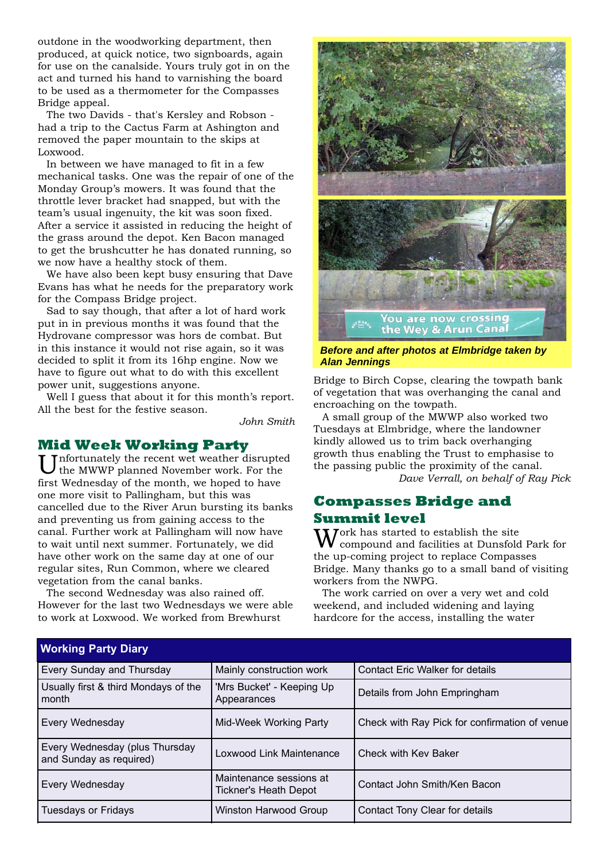outdone in the woodworking department, then produced, at quick notice, two signboards, again for use on the canalside. Yours truly got in on the act and turned his hand to varnishing the board to be used as a thermometer for the Compasses Bridge appeal.

The two Davids - that's Kersley and Robson had a trip to the Cactus Farm at Ashington and removed the paper mountain to the skips at Loxwood.

In between we have managed to fit in a few mechanical tasks. One was the repair of one of the Monday Group's mowers. It was found that the throttle lever bracket had snapped, but with the team's usual ingenuity, the kit was soon fixed. After a service it assisted in reducing the height of the grass around the depot. Ken Bacon managed to get the brushcutter he has donated running, so we now have a healthy stock of them.

We have also been kept busy ensuring that Dave Evans has what he needs for the preparatory work for the Compass Bridge project.

Sad to say though, that after a lot of hard work put in in previous months it was found that the Hydrovane compressor was hors de combat. But in this instance it would not rise again, so it was decided to split it from its 16hp engine. Now we have to figure out what to do with this excellent power unit, suggestions anyone.

Well I guess that about it for this month's report. All the best for the festive season.

*John Smith*

### **Mid Week Working Party**

Unfortunately the recent wet weather disrupted the MWWP planned November work. For the first Wednesday of the month, we hoped to have one more visit to Pallingham, but this was cancelled due to the River Arun bursting its banks and preventing us from gaining access to the canal. Further work at Pallingham will now have to wait until next summer. Fortunately, we did have other work on the same day at one of our regular sites, Run Common, where we cleared vegetation from the canal banks.

The second Wednesday was also rained off. However for the last two Wednesdays we were able to work at Loxwood. We worked from Brewhurst

**Working Party Diary**



*Before and after photos at Elmbridge taken by Alan Jennings*

Bridge to Birch Copse, clearing the towpath bank of vegetation that was overhanging the canal and encroaching on the towpath.

A small group of the MWWP also worked two Tuesdays at Elmbridge, where the landowner kindly allowed us to trim back overhanging growth thus enabling the Trust to emphasise to the passing public the proximity of the canal.

*Dave Verrall, on behalf of Ray Pick*

## **Compasses Bridge and Summit level**

 $\int \text{Ork has started to establish the site}$ compound and facilities at Dunsfold Park for the up-coming project to replace Compasses Bridge. Many thanks go to a small band of visiting workers from the NWPG.

The work carried on over a very wet and cold weekend, and included widening and laying hardcore for the access, installing the water

| <b><i>IVOINIIIY FAILY DIAIY</i></b>                       |                                                         |                                               |
|-----------------------------------------------------------|---------------------------------------------------------|-----------------------------------------------|
| Every Sunday and Thursday                                 | Mainly construction work                                | <b>Contact Eric Walker for details</b>        |
| Usually first & third Mondays of the<br>month             | 'Mrs Bucket' - Keeping Up<br>Appearances                | Details from John Empringham                  |
| Every Wednesday                                           | Mid-Week Working Party                                  | Check with Ray Pick for confirmation of venue |
| Every Wednesday (plus Thursday<br>and Sunday as required) | Loxwood Link Maintenance                                | Check with Kev Baker                          |
| Every Wednesday                                           | Maintenance sessions at<br><b>Tickner's Heath Depot</b> | Contact John Smith/Ken Bacon                  |
| <b>Tuesdays or Fridays</b>                                | Winston Harwood Group                                   | Contact Tony Clear for details                |